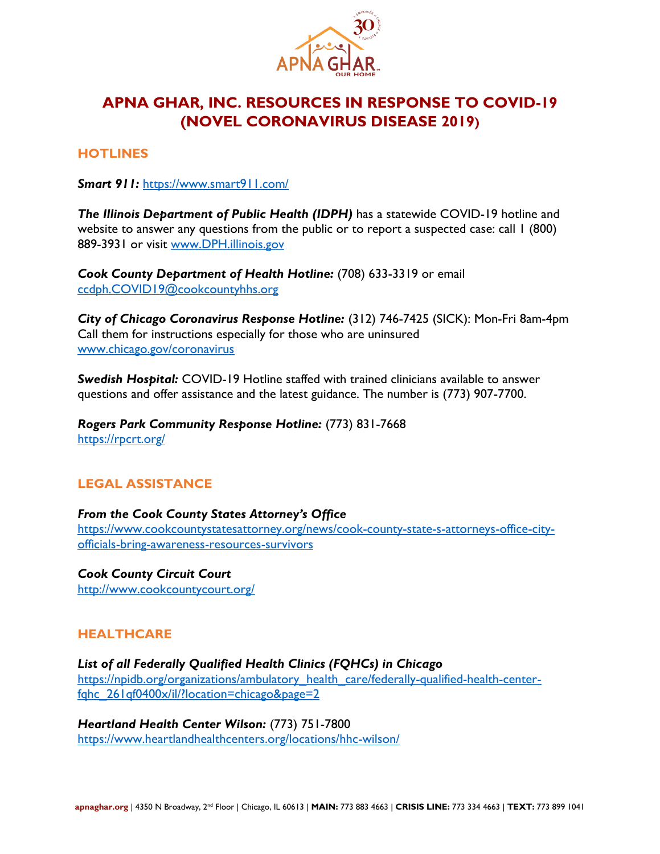

# **APNA GHAR, INC. RESOURCES IN RESPONSE TO COVID-19 (NOVEL CORONAVIRUS DISEASE 2019)**

### **HOTLINES**

*Smart 911:* <https://www.smart911.com/>

*The Illinois Department of Public Health (IDPH)* has a statewide COVID-19 hotline and website to answer any questions from the public or to report a suspected case: call 1 (800) 889-3931 or visit [www.DPH.illinois.gov](http://www.dph.illinois.gov/) 

*Cook County Department of Health Hotline:* (708) 633-3319 or email [ccdph.COVID19@cookcountyhhs.org](mailto:ccdph.COVID19@cookcountyhhs.org) 

*City of Chicago Coronavirus Response Hotline:* (312) 746-7425 (SICK): Mon-Fri 8am-4pm Call them for instructions especially for those who are uninsured [www.chicago.gov/coronavirus](http://www.chicago.gov/coronavirus) 

*Swedish Hospital:* COVID-19 Hotline staffed with trained clinicians available to answer questions and offer assistance and the latest guidance. The number is (773) 907-7700.

*Rogers Park Community Response Hotline:* (773) 831-7668 <https://rpcrt.org/>

# **LEGAL ASSISTANCE**

*From the Cook County States Attorney's Office*  [https://www.cookcountystatesattorney.org/news/cook-county-state-s-attorneys-office-city](https://www.cookcountystatesattorney.org/news/cook-county-state-s-attorneys-office-city-officials-bring-awareness-resources-survivors)[officials-bring-awareness-resources-survivors](https://www.cookcountystatesattorney.org/news/cook-county-state-s-attorneys-office-city-officials-bring-awareness-resources-survivors)

*Cook County Circuit Court* <http://www.cookcountycourt.org/>

### **HEALTHCARE**

*List of all Federally Qualified Health Clinics (FQHCs) in Chicago* [https://npidb.org/organizations/ambulatory\\_health\\_care/federally-qualified-health-center](https://npidb.org/organizations/ambulatory_health_care/federally-qualified-health-center-fqhc_261qf0400x/il/?location=chicago&page=2)[fqhc\\_261qf0400x/il/?location=chicago&page=2](https://npidb.org/organizations/ambulatory_health_care/federally-qualified-health-center-fqhc_261qf0400x/il/?location=chicago&page=2)

*Heartland Health Center Wilson:* (773) 751-7800 <https://www.heartlandhealthcenters.org/locations/hhc-wilson/>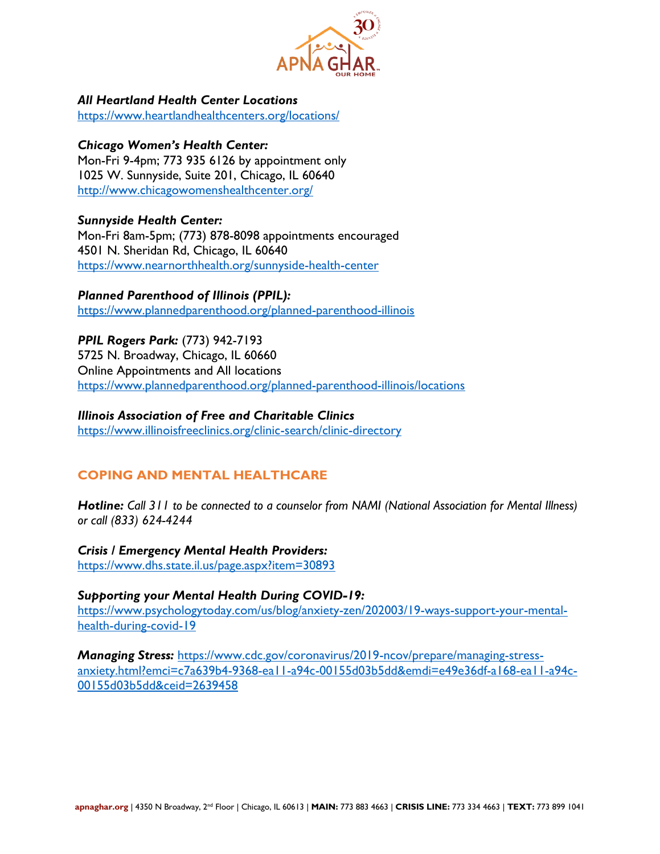

*All Heartland Health Center Locations* <https://www.heartlandhealthcenters.org/locations/>

### *Chicago Women's Health Center:*

Mon-Fri 9-4pm; 773 935 6126 by appointment only [1025 W. Sunnyside, Suite 201, Chicago, IL](https://maps.google.com/maps?q=1025+W.+Sunnyside,+Chicago,+Cook,+Illinois+60640&hl=en&sll=41.963398,-87.655763&sspn=0.009813,0.021136&hnear=1025+W+Sunnyside+Ave,+Chicago,+Cook,+Illinois+60640&t=m&z=16) 60640 <http://www.chicagowomenshealthcenter.org/>

### *Sunnyside Health Center:*

Mon-Fri 8am-5pm; (773) 878-8098 appointments encouraged 4501 N. Sheridan Rd, Chicago, IL 60640 <https://www.nearnorthhealth.org/sunnyside-health-center>

*Planned Parenthood of Illinois (PPIL):* <https://www.plannedparenthood.org/planned-parenthood-illinois>

*PPIL Rogers Park:* (773) 942-7193 5725 N. Broadway, Chicago, IL 60660 Online Appointments and All locations <https://www.plannedparenthood.org/planned-parenthood-illinois/locations>

### *Illinois Association of Free and Charitable Clinics*

<https://www.illinoisfreeclinics.org/clinic-search/clinic-directory>

### **COPING AND MENTAL HEALTHCARE**

*Hotline: Call 311 to be connected to a counselor from NAMI (National Association for Mental Illness) or call (833) 624-4244*

*Crisis / Emergency Mental Health Providers:*  <https://www.dhs.state.il.us/page.aspx?item=30893>

*Supporting your Mental Health During COVID-19:* [https://www.psychologytoday.com/us/blog/anxiety-zen/202003/19-ways-support-your-mental](https://www.psychologytoday.com/us/blog/anxiety-zen/202003/19-ways-support-your-mental-health-during-covid-19)[health-during-covid-19](https://www.psychologytoday.com/us/blog/anxiety-zen/202003/19-ways-support-your-mental-health-during-covid-19)

*Managing Stress:* [https://www.cdc.gov/coronavirus/2019-ncov/prepare/managing-stress](https://www.cdc.gov/coronavirus/2019-ncov/prepare/managing-stress-anxiety.html?emci=c7a639b4-9368-ea11-a94c-00155d03b5dd&emdi=e49e36df-a168-ea11-a94c-00155d03b5dd&ceid=2639458)[anxiety.html?emci=c7a639b4-9368-ea11-a94c-00155d03b5dd&emdi=e49e36df-a168-ea11-a94c-](https://www.cdc.gov/coronavirus/2019-ncov/prepare/managing-stress-anxiety.html?emci=c7a639b4-9368-ea11-a94c-00155d03b5dd&emdi=e49e36df-a168-ea11-a94c-00155d03b5dd&ceid=2639458)[00155d03b5dd&ceid=2639458](https://www.cdc.gov/coronavirus/2019-ncov/prepare/managing-stress-anxiety.html?emci=c7a639b4-9368-ea11-a94c-00155d03b5dd&emdi=e49e36df-a168-ea11-a94c-00155d03b5dd&ceid=2639458)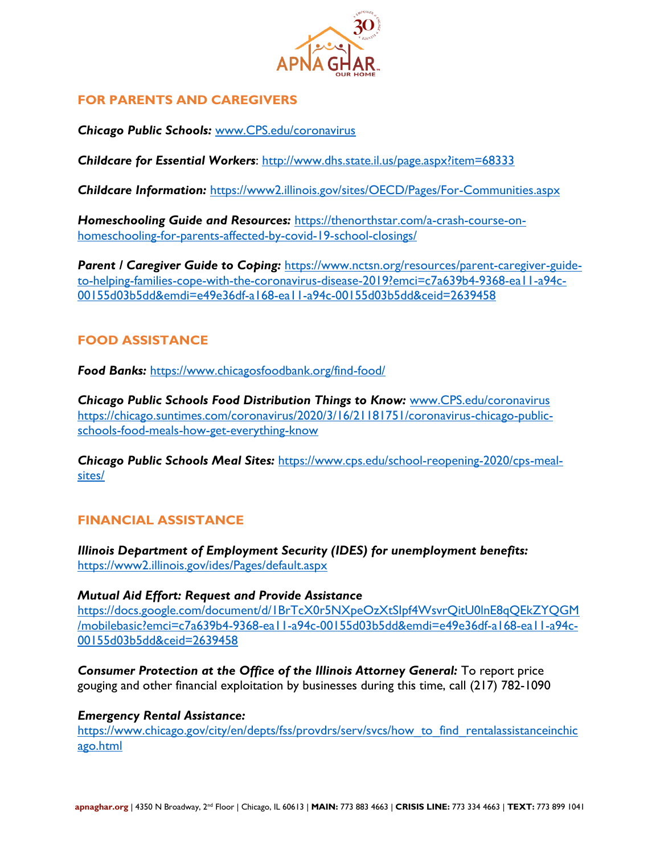

# **FOR PARENTS AND CAREGIVERS**

*Chicago Public Schools:* [www.CPS.edu/coronavirus](http://www.cps.edu/coronavirus) 

*Childcare for Essential Workers*:<http://www.dhs.state.il.us/page.aspx?item=68333>

*Childcare Information:* <https://www2.illinois.gov/sites/OECD/Pages/For-Communities.aspx>

*Homeschooling Guide and Resources:* [https://thenorthstar.com/a-crash-course-on](https://thenorthstar.com/a-crash-course-on-homeschooling-for-parents-affected-by-covid-19-school-closings/)[homeschooling-for-parents-affected-by-covid-19-school-closings/](https://thenorthstar.com/a-crash-course-on-homeschooling-for-parents-affected-by-covid-19-school-closings/)

*Parent / Caregiver Guide to Coping:* [https://www.nctsn.org/resources/parent-caregiver-guide](https://www.nctsn.org/resources/parent-caregiver-guide-to-helping-families-cope-with-the-coronavirus-disease-2019?emci=c7a639b4-9368-ea11-a94c-00155d03b5dd&emdi=e49e36df-a168-ea11-a94c-00155d03b5dd&ceid=2639458)[to-helping-families-cope-with-the-coronavirus-disease-2019?emci=c7a639b4-9368-ea11-a94c-](https://www.nctsn.org/resources/parent-caregiver-guide-to-helping-families-cope-with-the-coronavirus-disease-2019?emci=c7a639b4-9368-ea11-a94c-00155d03b5dd&emdi=e49e36df-a168-ea11-a94c-00155d03b5dd&ceid=2639458)[00155d03b5dd&emdi=e49e36df-a168-ea11-a94c-00155d03b5dd&ceid=2639458](https://www.nctsn.org/resources/parent-caregiver-guide-to-helping-families-cope-with-the-coronavirus-disease-2019?emci=c7a639b4-9368-ea11-a94c-00155d03b5dd&emdi=e49e36df-a168-ea11-a94c-00155d03b5dd&ceid=2639458)

# **FOOD ASSISTANCE**

*Food Banks:* <https://www.chicagosfoodbank.org/find-food/>

*Chicago Public Schools Food Distribution Things to Know:* [www.CPS.edu/coronavirus](http://www.cps.edu/coronavirus)  [https://chicago.suntimes.com/coronavirus/2020/3/16/21181751/coronavirus-chicago-public](https://chicago.suntimes.com/coronavirus/2020/3/16/21181751/coronavirus-chicago-public-schools-food-meals-how-get-everything-know)[schools-food-meals-how-get-everything-know](https://chicago.suntimes.com/coronavirus/2020/3/16/21181751/coronavirus-chicago-public-schools-food-meals-how-get-everything-know)

*Chicago Public Schools Meal Sites:* [https://www.cps.edu/school-reopening-2020/cps-meal](https://www.cps.edu/school-reopening-2020/cps-meal-sites/)[sites/](https://www.cps.edu/school-reopening-2020/cps-meal-sites/)

# **FINANCIAL ASSISTANCE**

*Illinois Department of Employment Security (IDES) for unemployment benefits:* <https://www2.illinois.gov/ides/Pages/default.aspx>

*Mutual Aid Effort: Request and Provide Assistance*

[https://docs.google.com/document/d/1BrTcX0r5NXpeOzXtSIpf4WsvrQitU0lnE8qQEkZYQGM](https://docs.google.com/document/d/1BrTcX0r5NXpeOzXtSIpf4WsvrQitU0lnE8qQEkZYQGM/mobilebasic?emci=c7a639b4-9368-ea11-a94c-00155d03b5dd&emdi=e49e36df-a168-ea11-a94c-00155d03b5dd&ceid=2639458) [/mobilebasic?emci=c7a639b4-9368-ea11-a94c-00155d03b5dd&emdi=e49e36df-a168-ea11-a94c-](https://docs.google.com/document/d/1BrTcX0r5NXpeOzXtSIpf4WsvrQitU0lnE8qQEkZYQGM/mobilebasic?emci=c7a639b4-9368-ea11-a94c-00155d03b5dd&emdi=e49e36df-a168-ea11-a94c-00155d03b5dd&ceid=2639458)[00155d03b5dd&ceid=2639458](https://docs.google.com/document/d/1BrTcX0r5NXpeOzXtSIpf4WsvrQitU0lnE8qQEkZYQGM/mobilebasic?emci=c7a639b4-9368-ea11-a94c-00155d03b5dd&emdi=e49e36df-a168-ea11-a94c-00155d03b5dd&ceid=2639458)

*Consumer Protection at the Office of the Illinois Attorney General:* To report price gouging and other financial exploitation by businesses during this time, call (217) 782-1090

#### *Emergency Rental Assistance:*

[https://www.chicago.gov/city/en/depts/fss/provdrs/serv/svcs/how\\_to\\_find\\_rentalassistanceinchic](https://www.chicago.gov/city/en/depts/fss/provdrs/serv/svcs/how_to_find_rentalassistanceinchicago.html) [ago.html](https://www.chicago.gov/city/en/depts/fss/provdrs/serv/svcs/how_to_find_rentalassistanceinchicago.html)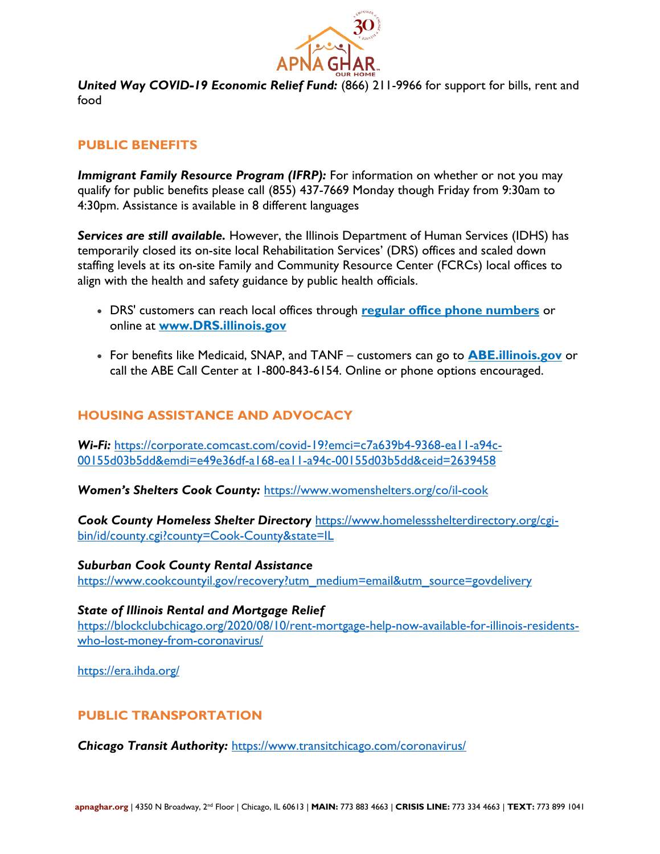

food

# **PUBLIC BENEFITS**

**Immigrant Family Resource Program (IFRP):** For information on whether or not you may qualify for public benefits please call (855) 437-7669 Monday though Friday from 9:30am to 4:30pm. Assistance is available in 8 different languages

*Services are still available.* However, the Illinois Department of Human Services (IDHS) has temporarily closed its on-site local Rehabilitation Services' (DRS) offices and scaled down staffing levels at its on-site Family and Community Resource Center (FCRCs) local offices to align with the health and safety guidance by public health officials.

- DRS' customers can reach local offices through **[regular office phone numbers](http://r20.rs6.net/tn.jsp?f=001jpqs1f2cgl1Qn2i0g7yeoz6J3y1ZJxuBzi66-bAr36spgK12UOTxHLENPPzrFKiHMMIuqgaUlEE0FMWVY1_wiB0OsLane2zZZNpyVjpbJxRnEXW6NRqDmHHE9WnhRDXy9Jc_-ucDkEdy8S4qvUtAj5pAgOybWvqbxG4rI3QyO2iKKMSjtrvuhg==&c=UpGyRw5NoAUPfcnGXfSsHwlslDWA-ONkK3dfeSv4vI-iMAa129ApTw==&ch=lrVXmXT1qPhpISJWV_3Rttiz8q76XrutsYci1_EbRM4BhBmC67L_rQ==)** or online at **[www.DRS.illinois.gov](http://r20.rs6.net/tn.jsp?f=001jpqs1f2cgl1Qn2i0g7yeoz6J3y1ZJxuBzi66-bAr36spgK12UOTxHLENPPzrFKiHpf8BGQ3MPd_5YGBSHSYEWdjGXvagn2yEzpgcfQUQNaFw99YEcnHX0iJdr7IQp_ghQanOXbFw4S0oM-yU6UuYyw==&c=UpGyRw5NoAUPfcnGXfSsHwlslDWA-ONkK3dfeSv4vI-iMAa129ApTw==&ch=lrVXmXT1qPhpISJWV_3Rttiz8q76XrutsYci1_EbRM4BhBmC67L_rQ==)**
- For benefits like Medicaid, SNAP, and TANF customers can go to **[ABE.illinois.gov](http://r20.rs6.net/tn.jsp?f=001jpqs1f2cgl1Qn2i0g7yeoz6J3y1ZJxuBzi66-bAr36spgK12UOTxHC6z98AIVxCKR5w5ed84zwCwXt0ZBgZnOJMyRHtz3BpYziYecBrV7-cuU3Yg4UrrMJKXC67Iz_Hc_aYqVT5MRfU-lmOwW1X_FQoT6AzeWlNtmck3e57WkMk=&c=UpGyRw5NoAUPfcnGXfSsHwlslDWA-ONkK3dfeSv4vI-iMAa129ApTw==&ch=lrVXmXT1qPhpISJWV_3Rttiz8q76XrutsYci1_EbRM4BhBmC67L_rQ==)** or call the ABE Call Center at 1-800-843-6154. Online or phone options encouraged.

# **HOUSING ASSISTANCE AND ADVOCACY**

*Wi-Fi:* [https://corporate.comcast.com/covid-19?emci=c7a639b4-9368-ea11-a94c-](https://corporate.comcast.com/covid-19?emci=c7a639b4-9368-ea11-a94c-00155d03b5dd&emdi=e49e36df-a168-ea11-a94c-00155d03b5dd&ceid=2639458)[00155d03b5dd&emdi=e49e36df-a168-ea11-a94c-00155d03b5dd&ceid=2639458](https://corporate.comcast.com/covid-19?emci=c7a639b4-9368-ea11-a94c-00155d03b5dd&emdi=e49e36df-a168-ea11-a94c-00155d03b5dd&ceid=2639458)

*Women's Shelters Cook County:* <https://www.womenshelters.org/co/il-cook>

*Cook County Homeless Shelter Directory* [https://www.homelessshelterdirectory.org/cgi](https://www.homelessshelterdirectory.org/cgi-bin/id/county.cgi?county=Cook-County&state=IL)[bin/id/county.cgi?county=Cook-County&state=IL](https://www.homelessshelterdirectory.org/cgi-bin/id/county.cgi?county=Cook-County&state=IL)

# *Suburban Cook County Rental Assistance*

[https://www.cookcountyil.gov/recovery?utm\\_medium=email&utm\\_source=govdelivery](https://www.cookcountyil.gov/recovery?utm_medium=email&utm_source=govdelivery)

### *State of Illinois Rental and Mortgage Relief*

[https://blockclubchicago.org/2020/08/10/rent-mortgage-help-now-available-for-illinois-residents](https://blockclubchicago.org/2020/08/10/rent-mortgage-help-now-available-for-illinois-residents-who-lost-money-from-coronavirus/)[who-lost-money-from-coronavirus/](https://blockclubchicago.org/2020/08/10/rent-mortgage-help-now-available-for-illinois-residents-who-lost-money-from-coronavirus/)

<https://era.ihda.org/>

# **PUBLIC TRANSPORTATION**

*Chicago Transit Authority:* <https://www.transitchicago.com/coronavirus/>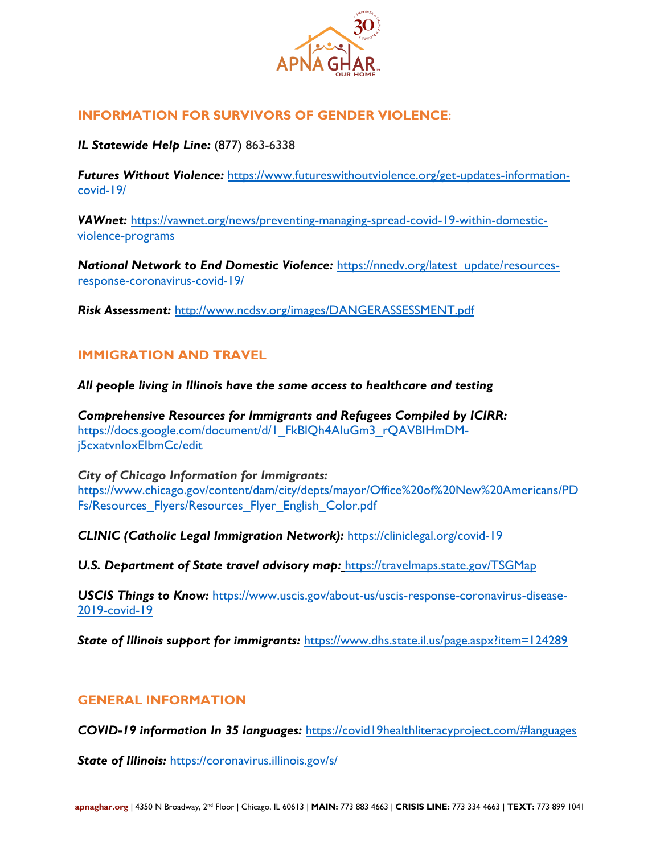

# **INFORMATION FOR SURVIVORS OF GENDER VIOLENCE**:

*IL Statewide Help Line:* (877) 863-6338

*Futures Without Violence:* [https://www.futureswithoutviolence.org/get-updates-information](https://www.futureswithoutviolence.org/get-updates-information-covid-19/)[covid-19/](https://www.futureswithoutviolence.org/get-updates-information-covid-19/)

*VAWnet:* [https://vawnet.org/news/preventing-managing-spread-covid-19-within-domestic](https://vawnet.org/news/preventing-managing-spread-covid-19-within-domestic-violence-programs)[violence-programs](https://vawnet.org/news/preventing-managing-spread-covid-19-within-domestic-violence-programs)

*National Network to End Domestic Violence: [https://nnedv.org/latest\\_update/resources](https://nnedv.org/latest_update/resources-response-coronavirus-covid-19/)*[response-coronavirus-covid-19/](https://nnedv.org/latest_update/resources-response-coronavirus-covid-19/)

*Risk Assessment:* <http://www.ncdsv.org/images/DANGERASSESSMENT.pdf>

# **IMMIGRATION AND TRAVEL**

*All people living in Illinois have the same access to healthcare and testing*

*Comprehensive Resources for Immigrants and Refugees Compiled by ICIRR:* [https://docs.google.com/document/d/1\\_FkBlQh4AIuGm3\\_rQAVBIHmDM](https://docs.google.com/document/d/1_FkBlQh4AIuGm3_rQAVBIHmDM-j5cxatvnIoxEIbmCc/edit)[j5cxatvnIoxEIbmCc/edit](https://docs.google.com/document/d/1_FkBlQh4AIuGm3_rQAVBIHmDM-j5cxatvnIoxEIbmCc/edit)

*City of Chicago Information for Immigrants:* [https://www.chicago.gov/content/dam/city/depts/mayor/Office%20of%20New%20Americans/PD](https://www.chicago.gov/content/dam/city/depts/mayor/Office%20of%20New%20Americans/PDFs/Resources_Flyers/Resources_Flyer_English_Color.pdf) [Fs/Resources\\_Flyers/Resources\\_Flyer\\_English\\_Color.pdf](https://www.chicago.gov/content/dam/city/depts/mayor/Office%20of%20New%20Americans/PDFs/Resources_Flyers/Resources_Flyer_English_Color.pdf)

*CLINIC (Catholic Legal Immigration Network):* <https://cliniclegal.org/covid-19>

*U.S. Department of State travel advisory map:* <https://travelmaps.state.gov/TSGMap>

*USCIS Things to Know:* [https://www.uscis.gov/about-us/uscis-response-coronavirus-disease-](https://www.uscis.gov/about-us/uscis-response-coronavirus-disease-2019-covid-19)[2019-covid-19](https://www.uscis.gov/about-us/uscis-response-coronavirus-disease-2019-covid-19)

*State of Illinois support for immigrants:* <https://www.dhs.state.il.us/page.aspx?item=124289>

# **GENERAL INFORMATION**

*COVID-19 information In 35 languages:* <https://covid19healthliteracyproject.com/#languages>

*State of Illinois:* <https://coronavirus.illinois.gov/s/>